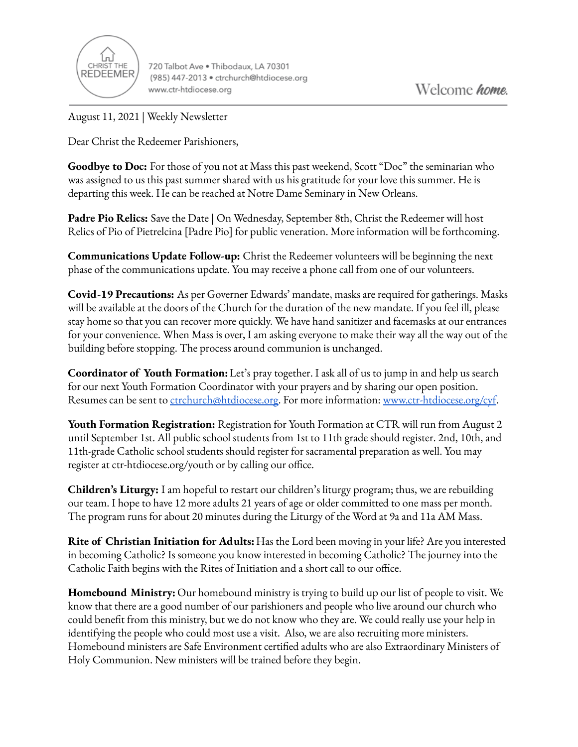

720 Talbot Ave . Thibodaux, LA 70301 (985) 447-2013 · ctrchurch@htdiocese.org www.ctr-htdiocese.org

August 11, 2021 | Weekly Newsletter

Dear Christ the Redeemer Parishioners,

**Goodbye to Doc:** For those of you not at Mass this past weekend, Scott "Doc" the seminarian who was assigned to us this past summer shared with us his gratitude for your love this summer. He is departing this week. He can be reached at Notre Dame Seminary in New Orleans.

**Padre Pio Relics:** Save the Date | On Wednesday, September 8th, Christ the Redeemer will host Relics of Pio of Pietrelcina [Padre Pio] for public veneration. More information will be forthcoming.

**Communications Update Follow-up:** Christ the Redeemer volunteers will be beginning the next phase of the communications update. You may receive a phone call from one of our volunteers.

**Covid-19 Precautions:** As per Governer Edwards' mandate, masks are required for gatherings. Masks will be available at the doors of the Church for the duration of the new mandate. If you feel ill, please stay home so that you can recover more quickly. We have hand sanitizer and facemasks at our entrances for your convenience. When Mass is over, I am asking everyone to make their way all the way out of the building before stopping. The process around communion is unchanged.

**Coordinator of Youth Formation:**Let's pray together. I ask all of us to jump in and help us search for our next Youth Formation Coordinator with your prayers and by sharing our open position. Resumes can be sent to [ctrchurch@htdiocese.org.](mailto:ctrchurch@htdiocese.org) For more information: [www.ctr-htdiocese.org/cyf.](http://www.ctr-htdiocese.org/cyf)

**Youth Formation Registration:** Registration for Youth Formation at CTR will run from August 2 until September 1st. All public school students from 1st to 11th grade should register. 2nd, 10th, and 11th-grade Catholic school students should register for sacramental preparation as well. You may register at ctr-htdiocese.org/youth or by calling our office.

**Children's Liturgy:** I am hopeful to restart our children's liturgy program; thus, we are rebuilding our team. I hope to have 12 more adults 21 years of age or older committed to one mass per month. The program runs for about 20 minutes during the Liturgy of the Word at 9a and 11a AM Mass.

**Rite of Christian Initiation for Adults:** Has the Lord been moving in your life? Are you interested in becoming Catholic? Is someone you know interested in becoming Catholic? The journey into the Catholic Faith begins with the Rites of Initiation and a short call to our office.

**Homebound Ministry:** Our homebound ministry is trying to build up our list of people to visit. We know that there are a good number of our parishioners and people who live around our church who could benefit from this ministry, but we do not know who they are. We could really use your help in identifying the people who could most use a visit. Also, we are also recruiting more ministers. Homebound ministers are Safe Environment certified adults who are also Extraordinary Ministers of Holy Communion. New ministers will be trained before they begin.